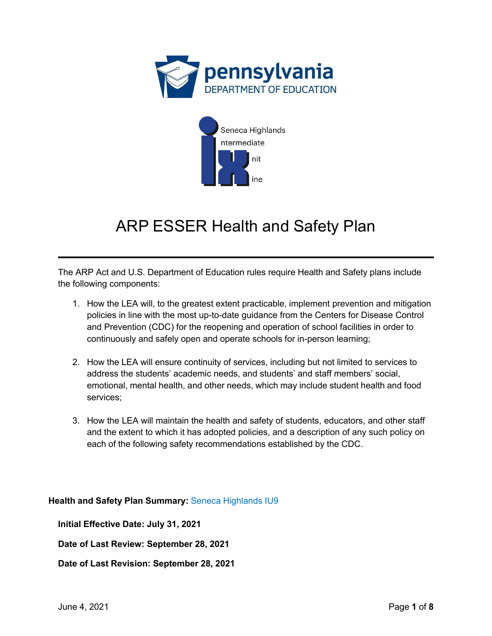



## ARP ESSER Health and Safety Plan

The ARP Act and U.S. Department of Education rules require Health and Safety plans include the following components:

- 1. How the LEA will, to the greatest extent practicable, implement prevention and mitigation policies in line with the most up-to-date guidance from the Centers for Disease Control and Prevention (CDC) for the reopening and operation of school facilities in order to continuously and safely open and operate schools for in-person learning;
- 2. How the LEA will ensure continuity of services, including but not limited to services to address the students' academic needs, and students' and staff members' social, emotional, mental health, and other needs, which may include student health and food services;
- 3. How the LEA will maintain the health and safety of students, educators, and other staff and the extent to which it has adopted policies, and a description of any such policy on each of the following safety recommendations established by the CDC.

## **Health and Safety Plan Summary:** Seneca Highlands IU9

**Initial Effective Date: July 31, 2021**

**Date of Last Review: September 28, 2021** 

**Date of Last Revision: September 28, 2021**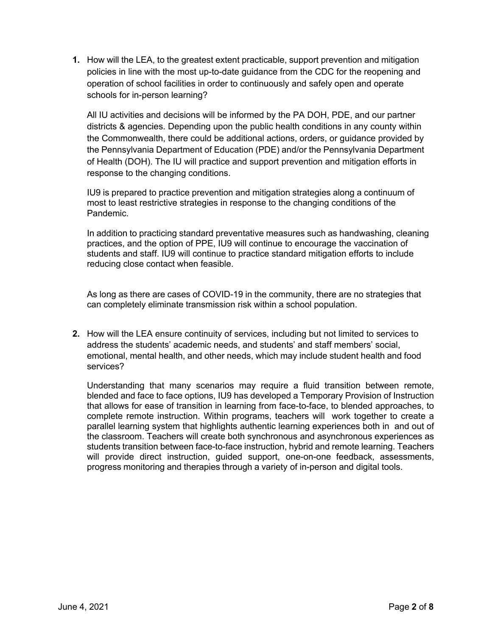**1.** How will the LEA, to the greatest extent practicable, support prevention and mitigation policies in line with the most up-to-date guidance from the CDC for the reopening and operation of school facilities in order to continuously and safely open and operate schools for in-person learning?

All IU activities and decisions will be informed by the PA DOH, PDE, and our partner districts & agencies. Depending upon the public health conditions in any county within the Commonwealth, there could be additional actions, orders, or guidance provided by the Pennsylvania Department of Education (PDE) and/or the Pennsylvania Department of Health (DOH). The IU will practice and support prevention and mitigation efforts in response to the changing conditions.

IU9 is prepared to practice prevention and mitigation strategies along a continuum of most to least restrictive strategies in response to the changing conditions of the Pandemic.

In addition to practicing standard preventative measures such as handwashing, cleaning practices, and the option of PPE, IU9 will continue to encourage the vaccination of students and staff. IU9 will continue to practice standard mitigation efforts to include reducing close contact when feasible.

As long as there are cases of COVID-19 in the community, there are no strategies that can completely eliminate transmission risk within a school population.

**2.** How will the LEA ensure continuity of services, including but not limited to services to address the students' academic needs, and students' and staff members' social, emotional, mental health, and other needs, which may include student health and food services?

Understanding that many scenarios may require a fluid transition between remote, blended and face to face options, IU9 has developed a Temporary Provision of Instruction that allows for ease of transition in learning from face-to-face, to blended approaches, to complete remote instruction. Within programs, teachers will work together to create a parallel learning system that highlights authentic learning experiences both in and out of the classroom. Teachers will create both synchronous and asynchronous experiences as students transition between face-to-face instruction, hybrid and remote learning. Teachers will provide direct instruction, guided support, one-on-one feedback, assessments, progress monitoring and therapies through a variety of in-person and digital tools.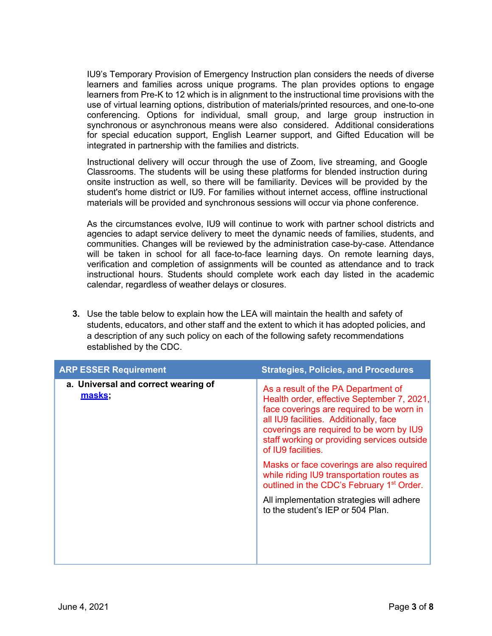IU9's Temporary Provision of Emergency Instruction plan considers the needs of diverse learners and families across unique programs. The plan provides options to engage learners from Pre-K to 12 which is in alignment to the instructional time provisions with the use of virtual learning options, distribution of materials/printed resources, and one-to-one conferencing. Options for individual, small group, and large group instruction in synchronous or asynchronous means were also considered. Additional considerations for special education support, English Learner support, and Gifted Education will be integrated in partnership with the families and districts.

Instructional delivery will occur through the use of Zoom, live streaming, and Google Classrooms. The students will be using these platforms for blended instruction during onsite instruction as well, so there will be familiarity. Devices will be provided by the student's home district or IU9. For families without internet access, offline instructional materials will be provided and synchronous sessions will occur via phone conference.

As the circumstances evolve, IU9 will continue to work with partner school districts and agencies to adapt service delivery to meet the dynamic needs of families, students, and communities. Changes will be reviewed by the administration case-by-case. Attendance will be taken in school for all face-to-face learning days. On remote learning days, verification and completion of assignments will be counted as attendance and to track instructional hours. Students should complete work each day listed in the academic calendar, regardless of weather delays or closures.

**3.** Use the table below to explain how the LEA will maintain the health and safety of students, educators, and other staff and the extent to which it has adopted policies, and a description of any such policy on each of the following safety recommendations established by the CDC.

| <b>ARP ESSER Requirement</b>                  | <b>Strategies, Policies, and Procedures</b>                                                                                                                                                                                                                                               |
|-----------------------------------------------|-------------------------------------------------------------------------------------------------------------------------------------------------------------------------------------------------------------------------------------------------------------------------------------------|
| a. Universal and correct wearing of<br>masks; | As a result of the PA Department of<br>Health order, effective September 7, 2021,<br>face coverings are required to be worn in<br>all IU9 facilities. Additionally, face<br>coverings are required to be worn by IU9<br>staff working or providing services outside<br>of IU9 facilities. |
|                                               | Masks or face coverings are also required<br>while riding IU9 transportation routes as<br>outlined in the CDC's February 1 <sup>st</sup> Order.                                                                                                                                           |
|                                               | All implementation strategies will adhere<br>to the student's IEP or 504 Plan.                                                                                                                                                                                                            |
|                                               |                                                                                                                                                                                                                                                                                           |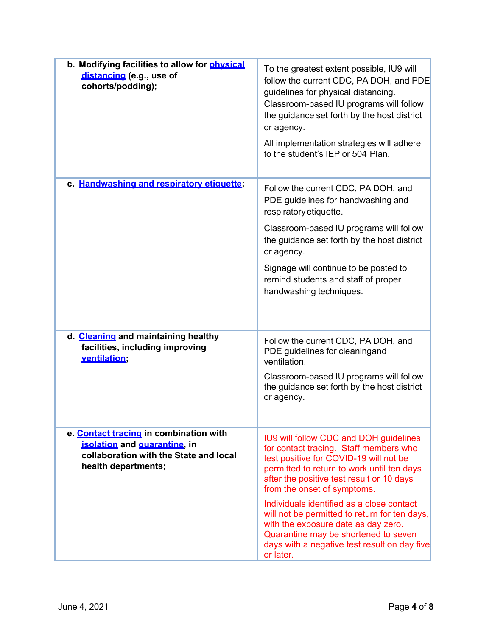| b. Modifying facilities to allow for physical<br>distancing (e.g., use of<br>cohorts/podding);                                          | To the greatest extent possible, IU9 will<br>follow the current CDC, PA DOH, and PDE<br>guidelines for physical distancing.<br>Classroom-based IU programs will follow<br>the guidance set forth by the host district<br>or agency.<br>All implementation strategies will adhere<br>to the student's IEP or 504 Plan. |
|-----------------------------------------------------------------------------------------------------------------------------------------|-----------------------------------------------------------------------------------------------------------------------------------------------------------------------------------------------------------------------------------------------------------------------------------------------------------------------|
| c. Handwashing and respiratory etiquette;                                                                                               | Follow the current CDC, PA DOH, and<br>PDE guidelines for handwashing and<br>respiratory etiquette.                                                                                                                                                                                                                   |
|                                                                                                                                         | Classroom-based IU programs will follow<br>the guidance set forth by the host district<br>or agency.                                                                                                                                                                                                                  |
|                                                                                                                                         | Signage will continue to be posted to<br>remind students and staff of proper<br>handwashing techniques.                                                                                                                                                                                                               |
| d. Cleaning and maintaining healthy<br>facilities, including improving<br>ventilation;                                                  | Follow the current CDC, PA DOH, and<br>PDE guidelines for cleaningand<br>ventilation.                                                                                                                                                                                                                                 |
|                                                                                                                                         | Classroom-based IU programs will follow<br>the guidance set forth by the host district<br>or agency.                                                                                                                                                                                                                  |
| e. Contact tracing in combination with<br>isolation and quarantine, in<br>collaboration with the State and local<br>health departments; | IU9 will follow CDC and DOH guidelines<br>for contact tracing. Staff members who<br>test positive for COVID-19 will not be<br>permitted to return to work until ten days<br>after the positive test result or 10 days<br>from the onset of symptoms.                                                                  |
|                                                                                                                                         | Individuals identified as a close contact<br>will not be permitted to return for ten days,<br>with the exposure date as day zero.<br>Quarantine may be shortened to seven<br>days with a negative test result on day five<br>or later.                                                                                |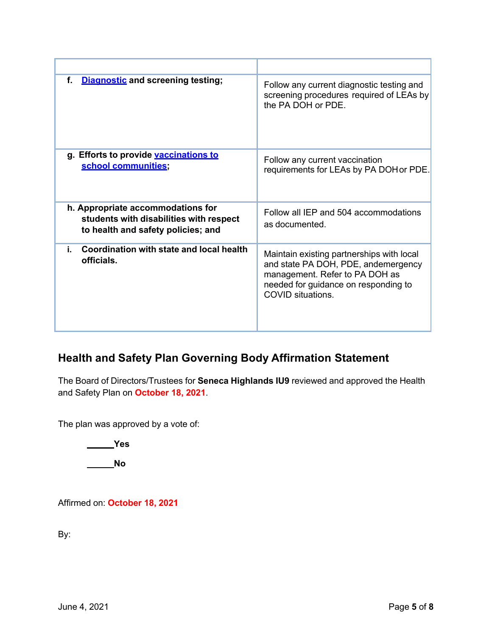| f.<br><b>Diagnostic and screening testing;</b>                                                                     | Follow any current diagnostic testing and<br>screening procedures required of LEAs by<br>the PA DOH or PDE.                                                                            |
|--------------------------------------------------------------------------------------------------------------------|----------------------------------------------------------------------------------------------------------------------------------------------------------------------------------------|
| g. Efforts to provide vaccinations to<br>school communities;                                                       | Follow any current vaccination<br>requirements for LEAs by PA DOH or PDE.                                                                                                              |
| h. Appropriate accommodations for<br>students with disabilities with respect<br>to health and safety policies; and | Follow all IEP and 504 accommodations<br>as documented.                                                                                                                                |
| Coordination with state and local health<br>i.<br>officials.                                                       | Maintain existing partnerships with local<br>and state PA DOH, PDE, andemergency<br>management. Refer to PA DOH as<br>needed for guidance on responding to<br><b>COVID</b> situations. |

## **Health and Safety Plan Governing Body Affirmation Statement**

The Board of Directors/Trustees for **Seneca Highlands IU9** reviewed and approved the Health and Safety Plan on **October 18, 2021**.

The plan was approved by a vote of:

**Yes**

**No**

Affirmed on: **October 18, 2021**

By: